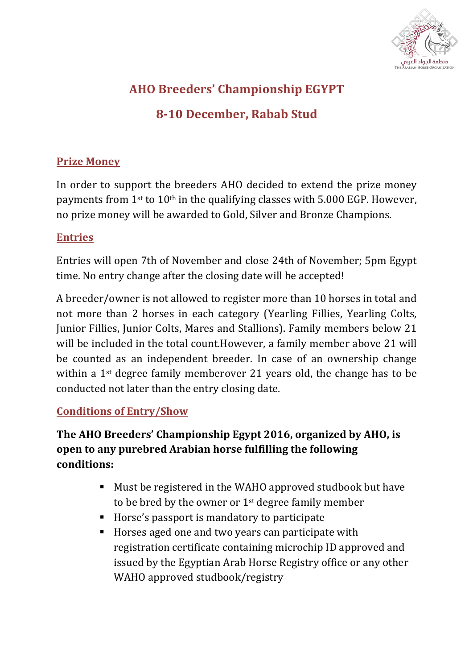

## **AHO Breeders' Championship EGYPT**

## **8-10 December, Rabab Stud**

#### **Prize Money**

In order to support the breeders AHO decided to extend the prize money payments from  $1^{st}$  to  $10^{th}$  in the qualifying classes with 5.000 EGP. However, no prize money will be awarded to Gold, Silver and Bronze Champions.

#### **Entries**

Entries will open 7th of November and close 24th of November; 5pm Egypt time. No entry change after the closing date will be accepted!

A breeder/owner is not allowed to register more than 10 horses in total and not more than 2 horses in each category (Yearling Fillies, Yearling Colts, Junior Fillies, Junior Colts, Mares and Stallions). Family members below 21 will be included in the total count.However, a family member above 21 will be counted as an independent breeder. In case of an ownership change within a  $1<sup>st</sup>$  degree family memberover 21 years old, the change has to be conducted not later than the entry closing date.

#### **Conditions of Entry/Show**

### The AHO Breeders' Championship Egypt 2016, organized by AHO, is **open to any purebred Arabian horse fulfilling the following conditions:**

- Must be registered in the WAHO approved studbook but have to be bred by the owner or  $1<sup>st</sup>$  degree family member
- Horse's passport is mandatory to participate
- Horses aged one and two years can participate with registration certificate containing microchip ID approved and issued by the Egyptian Arab Horse Registry office or any other WAHO approved studbook/registry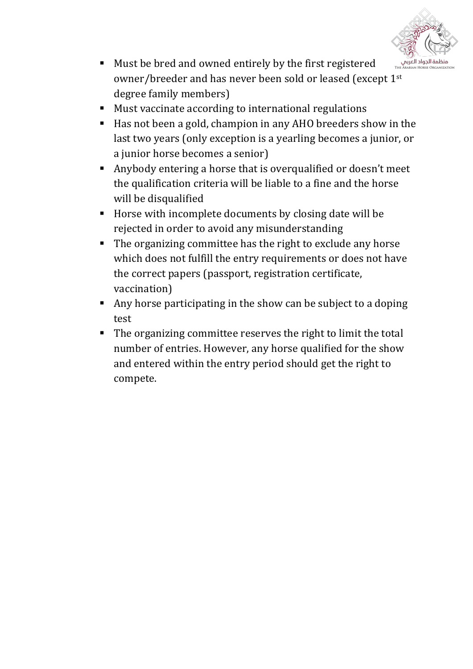

- Must be bred and owned entirely by the first registered owner/breeder and has never been sold or leased (except 1<sup>st</sup> degree family members)
- Must vaccinate according to international regulations
- Has not been a gold, champion in any AHO breeders show in the last two years (only exception is a yearling becomes a junior, or a junior horse becomes a senior)
- Anybody entering a horse that is overqualified or doesn't meet the qualification criteria will be liable to a fine and the horse will be disqualified
- Horse with incomplete documents by closing date will be rejected in order to avoid any misunderstanding
- The organizing committee has the right to exclude any horse which does not fulfill the entry requirements or does not have the correct papers (passport, registration certificate, vaccination)
- Any horse participating in the show can be subject to a doping test
- The organizing committee reserves the right to limit the total number of entries. However, any horse qualified for the show and entered within the entry period should get the right to compete.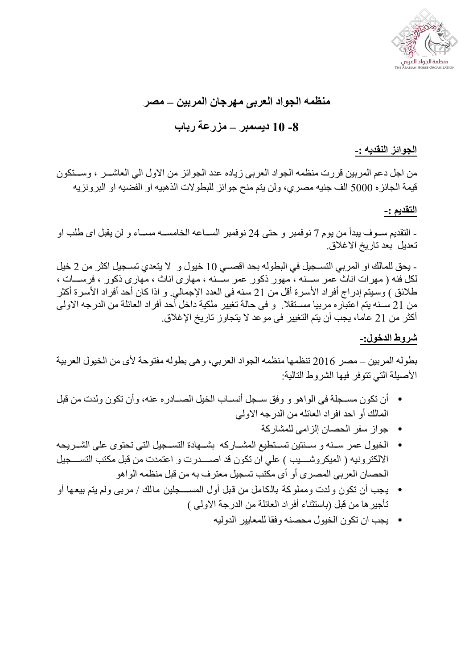

# **منظمھ الجواد العربى مھرجان المربین – مصر -8 10 دیسمبر – مزرعة رباب**

**الجوائز النقدیھ -:**

من اجل دعم المربین قررت منظمه الجواد العربي زیاده عدد الجوائز من الاول الي العاشـــر ، وســــنكون قیمة الجائزه 5000 الف جنیھ مصري، ولن یتم منح جوائز للبطولات الذھبیھ او الفضیھ او البرونزیھ

#### **التقدیم -:**

- التقديم ســوف يبدأ من يوم 7 نوفمبر و حتى 24 نوفمبر الســاعه الخامســه مســاء و لن يقبل اى طلب او تعدیل بعد تاریخ الاغلاق.

- یحق للمالك او المربي التسجیل في البطوله بحد اقصـي 10 خیول و لا یتعدي تسـجیل اكثر من 2 خیل لكل فئه ( مهرات اناث عمر ســـنه ، مهور ذكور عمر ســـنه ، مهارى اناث ، مهارى ذكور ، فرســـات ، طلائق ) وسيتم إدراج أفراد الأسرية أقل من 21 سنه فى العدد الإجمالي. و اذا كان أحد أفراد الأسرية أكثر من 21 سـنه يتم اعتبار ه مربيا مسـنقلا. و فى حالة تغيير ملكية داخل أحد أفراد العائلة من الدرجه الاولى أكثر من 21 عاما، یجب أن یتم التغییر فى موعد لا یتجاوز تاریخ الإغلاق.

#### **شروط الدخول-:**

بطولھ المربین – مصر 2016 تنظمھا منظمھ الجواد العربي، وھى بطولھ مفتوحة لأى من الخیول العربیة الأصیلة التي تتوفر فیھا الشروط التالیة:

- أن تكون مسـجلة فى الواهو و وفق سـجل أنسـاب الخيل الصــادر ه عنه، وأن تكون ولدت من قبل المالك أو احد افراد العائلھ من الدرجھ الاولي
	- جواز سفر الحصان إلزامى للمشاركة
- الخیول عمر سـنـه و سـنتین تسـتطیع المشــاركه بشــهادة التســجیل التى تحتوى على الشــریحه الالكترونیه ( المیكروشــــيب ) علي ان تكون قد اصــــدرت و اعتمدت من قبل مكتب التســـجیل الحصان العربى المصرى أو أى مكتب تسجیل معترف بھ من قبل منظمھ الواھو
- یجب أن تكون ولدت ومملوكة بالكامل من قبل أول المس??????جلین مالك / مربى ولم یتم بیعھا أو تأجیرھا من قبل (باستثناء أفراد العائلة من الدرجة الاولى )
	- یجب ان تكون الخیول محصنھ وفقا للمعاییر الدولیھ